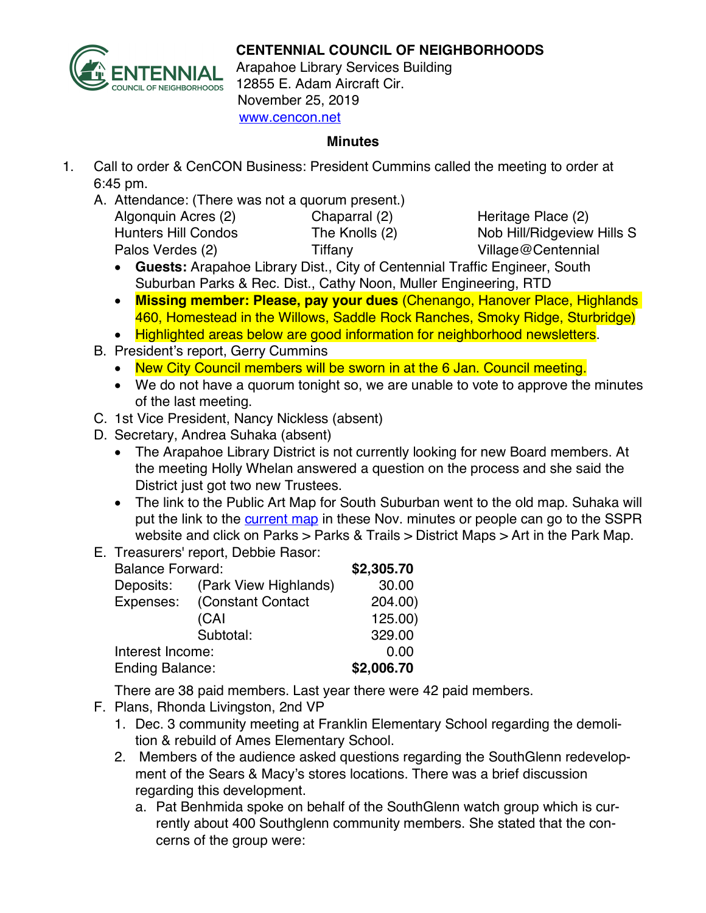

## **CENTENNIAL COUNCIL OF NEIGHBORHOODS**

Arapahoe Library Services Building 12855 E. Adam Aircraft Cir. November 25, 2019 www.cencon.net

## **Minutes**

- 1. Call to order & CenCON Business: President Cummins called the meeting to order at 6:45 pm.
	- A. Attendance: (There was not a quorum present.)

| Chaparral (2) |
|---------------|
| The Knolls (2 |
| Tiffany       |
|               |

Algoritage Place (2) 2) Nob Hill/Ridgeview Hills S Village@Centennial

- **Guests:** Arapahoe Library Dist., City of Centennial Traffic Engineer, South Suburban Parks & Rec. Dist., Cathy Noon, Muller Engineering, RTD
- **Missing member: Please, pay your dues** (Chenango, Hanover Place, Highlands 460, Homestead in the Willows, Saddle Rock Ranches, Smoky Ridge, Sturbridge)
- Highlighted areas below are good information for neighborhood newsletters.
- B. President's report, Gerry Cummins
	- New City Council members will be sworn in at the 6 Jan. Council meeting.
	- We do not have a quorum tonight so, we are unable to vote to approve the minutes of the last meeting.
- C. 1st Vice President, Nancy Nickless (absent)
- D. Secretary, Andrea Suhaka (absent)
	- The Arapahoe Library District is not currently looking for new Board members. At the meeting Holly Whelan answered a question on the process and she said the District just got two new Trustees.
	- The link to the Public Art Map for South Suburban went to the old map. Suhaka will put the link to the [current map](https://sspr.maps.arcgis.com/apps/MapTour/index.html?appid=0fbefc9f7c2e45728bfef8727c3018b4&webmap=de7e574f51324fbdb88ceb6181bccb2f) in these Nov. minutes or people can go to the SSPR website and click on Parks > Parks & Trails > District Maps > Art in the Park Map.
- E. Treasurers' report, Debbie Rasor:

| <b>Balance Forward:</b> |                       | \$2,305.70 |
|-------------------------|-----------------------|------------|
| Deposits:               | (Park View Highlands) | 30.00      |
| Expenses:               | (Constant Contact     | 204.00)    |
|                         | (CAI                  | 125.00)    |
|                         | Subtotal:             | 329.00     |
| Interest Income:        |                       | 0.00       |
| <b>Ending Balance:</b>  |                       | \$2,006.70 |

There are 38 paid members. Last year there were 42 paid members.

- F. Plans, Rhonda Livingston, 2nd VP
	- 1. Dec. 3 community meeting at Franklin Elementary School regarding the demolition & rebuild of Ames Elementary School.
	- 2. Members of the audience asked questions regarding the SouthGlenn redevelopment of the Sears & Macy's stores locations. There was a brief discussion regarding this development.
		- a. Pat Benhmida spoke on behalf of the SouthGlenn watch group which is currently about 400 Southglenn community members. She stated that the concerns of the group were: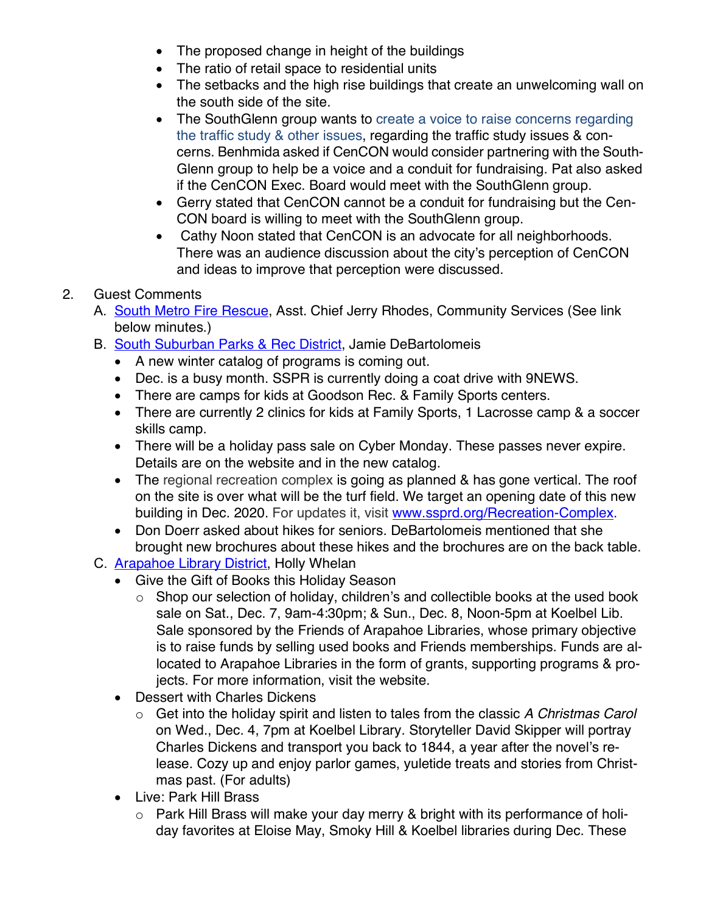- The proposed change in height of the buildings
- The ratio of retail space to residential units
- The setbacks and the high rise buildings that create an unwelcoming wall on the south side of the site.
- The SouthGlenn group wants to create a voice to raise concerns regarding the traffic study & other issues, regarding the traffic study issues & concerns. Benhmida asked if CenCON would consider partnering with the South-Glenn group to help be a voice and a conduit for fundraising. Pat also asked if the CenCON Exec. Board would meet with the SouthGlenn group.
- Gerry stated that CenCON cannot be a conduit for fundraising but the Cen-CON board is willing to meet with the SouthGlenn group.
- Cathy Noon stated that CenCON is an advocate for all neighborhoods. There was an audience discussion about the city's perception of CenCON and ideas to improve that perception were discussed.

## 2. Guest Comments

- A. [South Metro Fire Rescue](http://www.southmetro.org/), Asst. Chief Jerry Rhodes, Community Services (See link below minutes.)
- B. [South Suburban Parks & Rec District](http://www.sspr.org/), Jamie DeBartolomeis
	- A new winter catalog of programs is coming out.
	- Dec. is a busy month. SSPR is currently doing a coat drive with 9NEWS.
	- There are camps for kids at Goodson Rec. & Family Sports centers.
	- There are currently 2 clinics for kids at Family Sports, 1 Lacrosse camp & a soccer skills camp.
	- There will be a holiday pass sale on Cyber Monday. These passes never expire. Details are on the website and in the new catalog.
	- The regional recreation complex is going as planned & has gone vertical. The roof on the site is over what will be the turf field. We target an opening date of this new building in Dec. 2020. For updates it, visit www.ssprd.org/Recreation-Complex.
	- Don Doerr asked about hikes for seniors. DeBartolomeis mentioned that she brought new brochures about these hikes and the brochures are on the back table.
- C. **Arapahoe Library District**, Holly Whelan
	- Give the Gift of Books this Holiday Season
		- o Shop our selection of holiday, children's and collectible books at the used book sale on Sat., Dec. 7, 9am-4:30pm; & Sun., Dec. 8, Noon-5pm at Koelbel Lib. Sale sponsored by the Friends of Arapahoe Libraries, whose primary objective is to raise funds by selling used books and Friends memberships. Funds are allocated to Arapahoe Libraries in the form of grants, supporting programs & projects. For more information, visit the website.
	- Dessert with Charles Dickens
		- o Get into the holiday spirit and listen to tales from the classic *A Christmas Carol* on Wed., Dec. 4, 7pm at Koelbel Library. Storyteller David Skipper will portray Charles Dickens and transport you back to 1844, a year after the novel's release. Cozy up and enjoy parlor games, yuletide treats and stories from Christmas past. (For adults)
	- Live: Park Hill Brass
		- o Park Hill Brass will make your day merry & bright with its performance of holiday favorites at Eloise May, Smoky Hill & Koelbel libraries during Dec. These